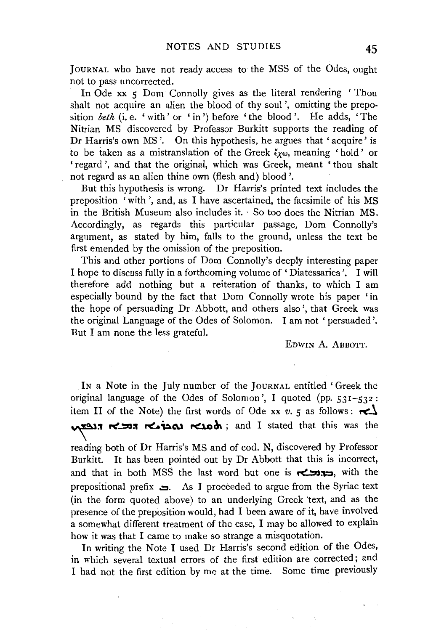JOURNAL who have not ready access to the MSS of the Odes, ought not to pass uncorrected.

In Ode xx 5 Dom Connolly gives as the literal rendering 'Thou shalt not acquire an alien the blood of thy soul', omitting the preposition *beth* (i.e. 'with' or 'in') before 'the blood'. He adds, 'The Nitrian MS discovered by Professor Burkitt supports the reading of Dr Harris's own MS'. On this hypothesis, he argues that 'acquire' is to be taken as a mistranslation of the Greek  $\xi_{\chi\omega}$ , meaning 'hold' or 'regard', and that the original, which was Greek, meant 'thou shalt not regard as an alien thine own (flesh and) blood'.

But this hypothesis is wrong. Dr Harris's printed text includes the preposition 'with ', and, as I have ascertained, the facsimile of his MS in the British Museum also includes it. · So too does the Nitrian MS. Accordingly, as regards this particular passage, Dom Connolly's argument, as stated by him, falls to the ground, unless the text be first emended by the omission of the preposition.

This and other portions of Dom Connolly's deeply interesting paper I hope to discuss fully in a forthcoming volume of 'Diatessarica '. I will therefore add nothing but a reiteration of thanks, to which I am especially bound by the fact that Dom Connolly wrote his paper 'in the hope of persuading Dr Abbott, and others also', that Greek was the original Language of the Odes of Solomon. I am not 'persuaded'. But I am none the less grateful.

EDWIN A. ABBOTT.

IN a Note in the July number of the JouRNAL entitled' Greek the original language of the Odes of Solomon', I quoted (pp. 531-532: item II of the Note) the first words of Ode xx  $v$ ,  $\zeta$  as follows:  $\sim$ יהבאה הנפצא; and I stated that this was the

reading both of Dr Harris's MS and of cod. N, discovered by Professor Burkitt. It has been pointed out by Dr Abbott that this is incorrect, and that in both MSS the last word but one is  $\sim$ . with the prepositional prefix  $\Box$ . As I proceeded to argue from the Syriac text (in the form quoted above) to an underlying Greek "text, and as the presence of the preposition would, had I been aware of it, have involved a somewhat different treatment of the case, I may be allowed to explain how it was that I came to make so strange a misquotation.

In writing the Note I used Dr Harris's second edition of the Odes, in which several textual errors of the first edition are corrected; and I had not the first edition by me at the time. Some time previously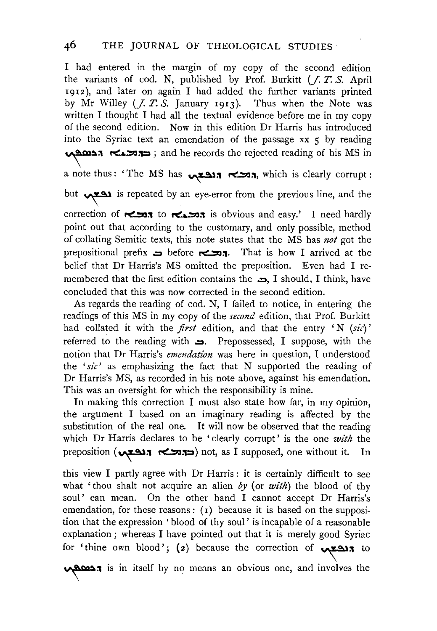I had entered in the margin of my copy of the second edition the variants of cod. N, published by Prof. Burkitt (J. *T. S.* April r 912 ), and later on again I had added the further variants printed by Mr Willey (J. *T. S.* January 1913). Thus when the Note was written I thought I had all the textual evidence before me in my copy of the second edition. Now in this edition Dr Harris has introduced into the Syriac text an emendation of the passage xx 5 by reading  $\sqrt{2}$   $\approx$  .  $\approx$   $\approx$   $\approx$  ; and he records the rejected reading of his MS in

a note thus: 'The MS has **הכאה הנפצ**א, which is clearly corrupt :

but  $\sqrt{221}$  is repeated by an eye-error from the previous line, and the

correction of **rection** to **retions** is obvious and easy.' I need hardly point out that according to the customary, and only possible, method of collating Semitic texts, this note states that the MS has *not* got the prepositional prefix  $\Rightarrow$  before  $\leftrightarrow$  1. That is how I arrived at the belief that Dr Harris's MS omitted the preposition. Even had I remembered that the first edition contains the  $\Rightarrow$ , I should, I think, have concluded that this was now corrected in the second edition.

As regards the reading of cod. N, I failed to notice, in entering the readings of this MS in my copy of the *second* edition, that Prof. Burkitt had collated it with the *first* edition, and that the entry 'N *(sic)'*  referred to the reading with  $\implies$ . Prepossessed, I suppose, with the notion that Dr Harris's *emendation* was here in question, I understood the *'sic'* as emphasizing the fact that N supported the reading of Dr Harris's MS, as recorded in his note above, against his emendation. This was an oversight for which the responsibility is mine.

In making this correction I must also state how far, in my opinion, the argument I based on an imaginary reading is affected by the substitution of the real one. It will now be observed that the reading which Dr Harris declares to be 'clearly corrupt' is the one *with* the preposition ( $\left(\bigstar\right)$ ,  $\left(\star\right)$  not, as I supposed, one without it. In

this view I partly agree with Dr Harris : it is certainly difficult to see what 'thou shalt not acquire an alien *by* (or *with)* the blood of thy soul' can mean. On the other hand I cannot accept Dr Harris's emendation, for these reasons:  $(1)$  because it is based on the supposition that the expression 'blood of thy soul' is incapable of a reasonable explanation ; whereas I have pointed out that it is merely good Syriac for 'thine own blood'; (2) because the correction of **\Z21l** to

~:'1 is in itself by no means an obvious one, and involves the